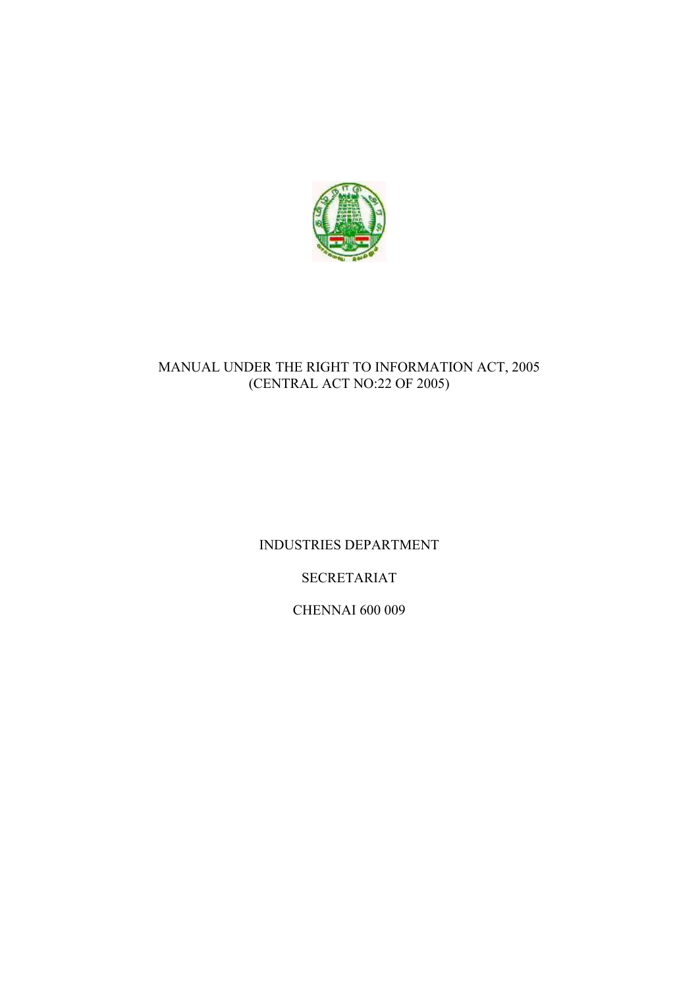

# MANUAL UNDER THE RIGHT TO INFORMATION ACT, 2005 (CENTRAL ACT NO:22 OF 2005)

INDUSTRIES DEPARTMENT

SECRETARIAT

CHENNAI 600 009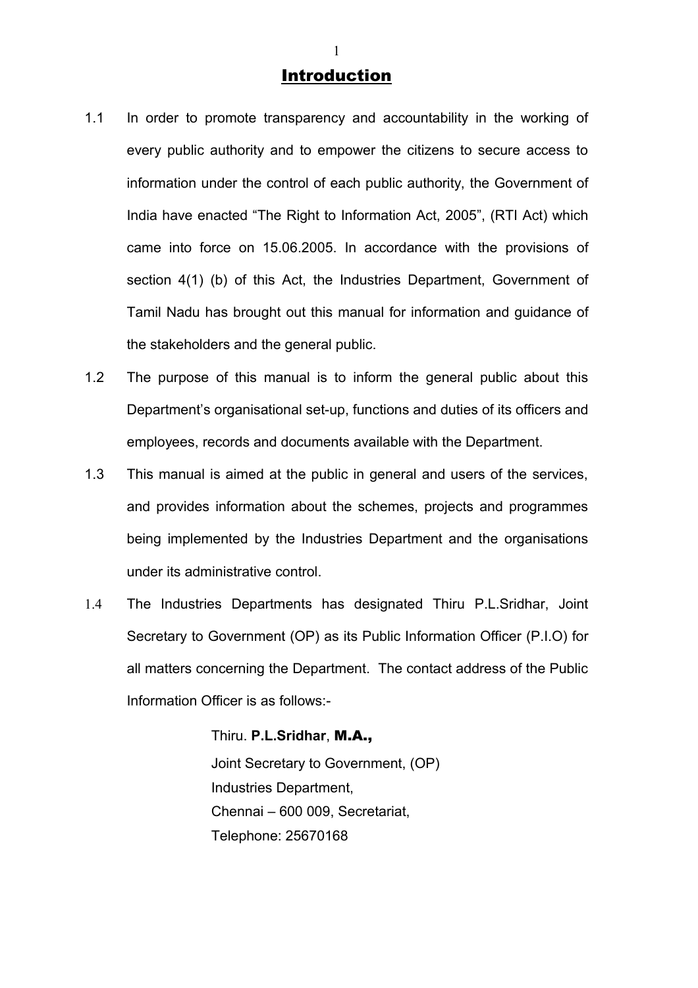# **Introduction**

- 1.1 In order to promote transparency and accountability in the working of every public authority and to empower the citizens to secure access to information under the control of each public authority, the Government of India have enacted "The Right to Information Act, 2005", (RTI Act) which came into force on 15.06.2005. In accordance with the provisions of section 4(1) (b) of this Act, the Industries Department, Government of Tamil Nadu has brought out this manual for information and guidance of the stakeholders and the general public.
- 1.2 The purpose of this manual is to inform the general public about this Department's organisational set-up, functions and duties of its officers and employees, records and documents available with the Department.
- 1.3 This manual is aimed at the public in general and users of the services, and provides information about the schemes, projects and programmes being implemented by the Industries Department and the organisations under its administrative control.
- 1.4 The Industries Departments has designated Thiru P.L.Sridhar, Joint Secretary to Government (OP) as its Public Information Officer (P.I.O) for all matters concerning the Department. The contact address of the Public Information Officer is as follows:-

Thiru. **P.L.Sridhar**, M.A., Joint Secretary to Government, (OP) Industries Department, Chennai – 600 009, Secretariat, Telephone: 25670168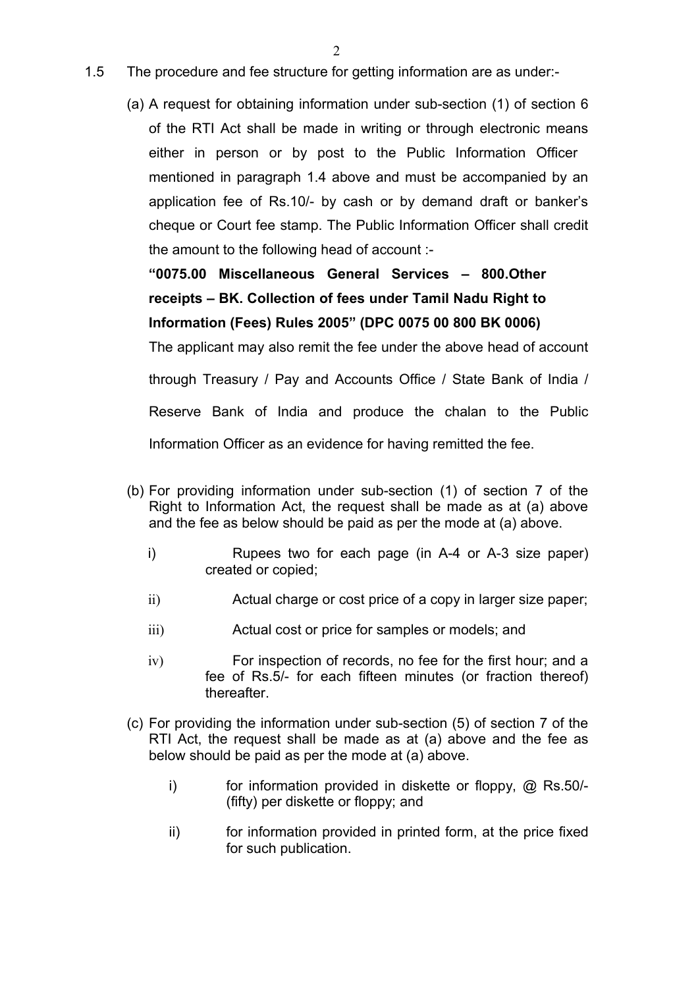- 1.5 The procedure and fee structure for getting information are as under:-
	- (a) A request for obtaining information under sub-section (1) of section 6 of the RTI Act shall be made in writing or through electronic means either in person or by post to the Public Information Officer mentioned in paragraph 1.4 above and must be accompanied by an application fee of Rs.10/- by cash or by demand draft or banker's cheque or Court fee stamp. The Public Information Officer shall credit the amount to the following head of account :-

**"0075.00 Miscellaneous General Services – 800.Other receipts – BK. Collection of fees under Tamil Nadu Right to Information (Fees) Rules 2005" (DPC 0075 00 800 BK 0006)**

The applicant may also remit the fee under the above head of account through Treasury / Pay and Accounts Office / State Bank of India / Reserve Bank of India and produce the chalan to the Public Information Officer as an evidence for having remitted the fee.

- (b) For providing information under sub-section (1) of section 7 of the Right to Information Act, the request shall be made as at (a) above and the fee as below should be paid as per the mode at (a) above.
	- i) Rupees two for each page (in A-4 or A-3 size paper) created or copied;
	- ii) Actual charge or cost price of a copy in larger size paper;
	- iii) Actual cost or price for samples or models; and
	- iv) For inspection of records, no fee for the first hour; and a fee of Rs.5/- for each fifteen minutes (or fraction thereof) thereafter.
- (c) For providing the information under sub-section (5) of section 7 of the RTI Act, the request shall be made as at (a) above and the fee as below should be paid as per the mode at (a) above.
	- i) for information provided in diskette or floppy, @ Rs.50/- (fifty) per diskette or floppy; and
	- ii) for information provided in printed form, at the price fixed for such publication.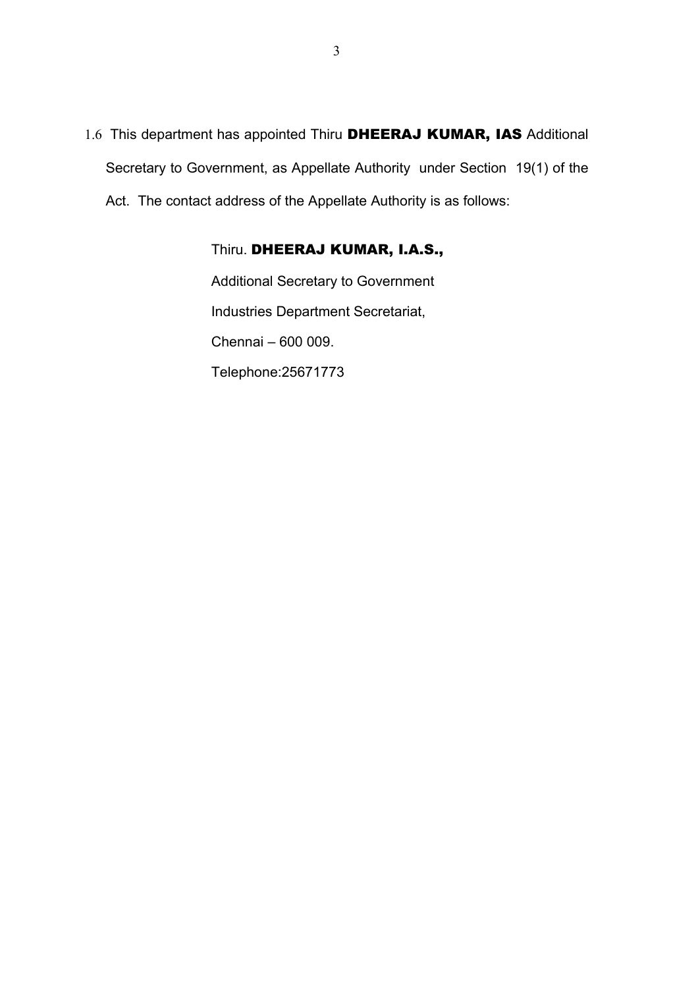1.6 This department has appointed Thiru DHEERAJ KUMAR, IAS Additional Secretary to Government, as Appellate Authority under Section 19(1) of the Act. The contact address of the Appellate Authority is as follows:

# Thiru. DHEERAJ KUMAR, I.A.S.,

Additional Secretary to Government Industries Department Secretariat, Chennai – 600 009. Telephone:25671773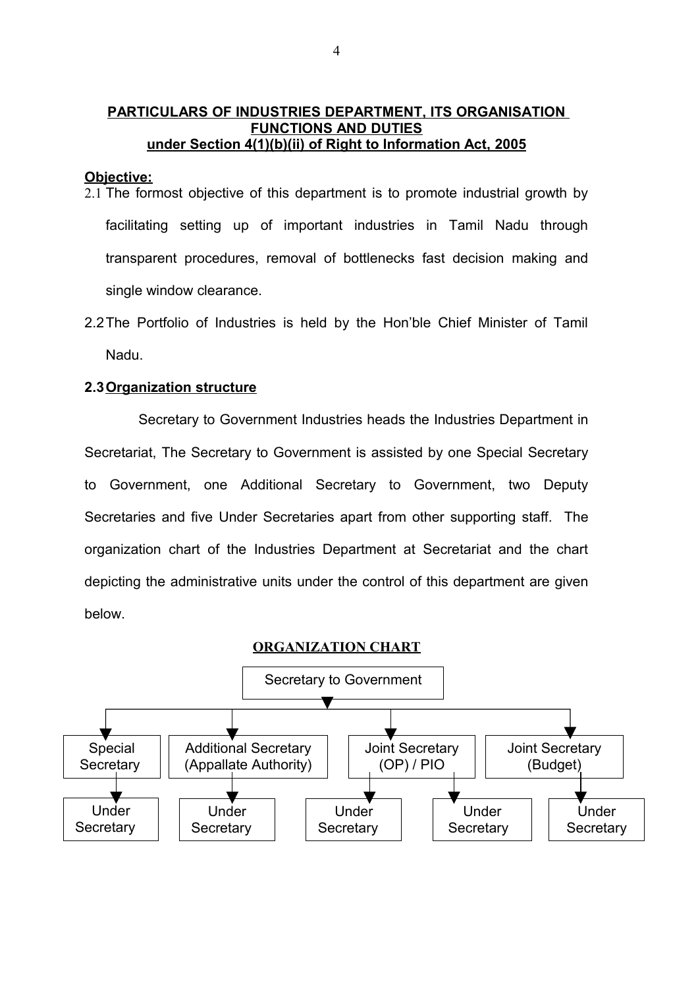# **PARTICULARS OF INDUSTRIES DEPARTMENT, ITS ORGANISATION FUNCTIONS AND DUTIES under Section 4(1)(b)(ii) of Right to Information Act, 2005**

#### **Objective:**

- 2.1 The formost objective of this department is to promote industrial growth by facilitating setting up of important industries in Tamil Nadu through transparent procedures, removal of bottlenecks fast decision making and single window clearance.
- 2.2The Portfolio of Industries is held by the Hon'ble Chief Minister of Tamil Nadu.

#### **2.3 Organization structure**

 Secretary to Government Industries heads the Industries Department in Secretariat, The Secretary to Government is assisted by one Special Secretary to Government, one Additional Secretary to Government, two Deputy Secretaries and five Under Secretaries apart from other supporting staff. The organization chart of the Industries Department at Secretariat and the chart depicting the administrative units under the control of this department are given below.

#### **ORGANIZATION CHART**

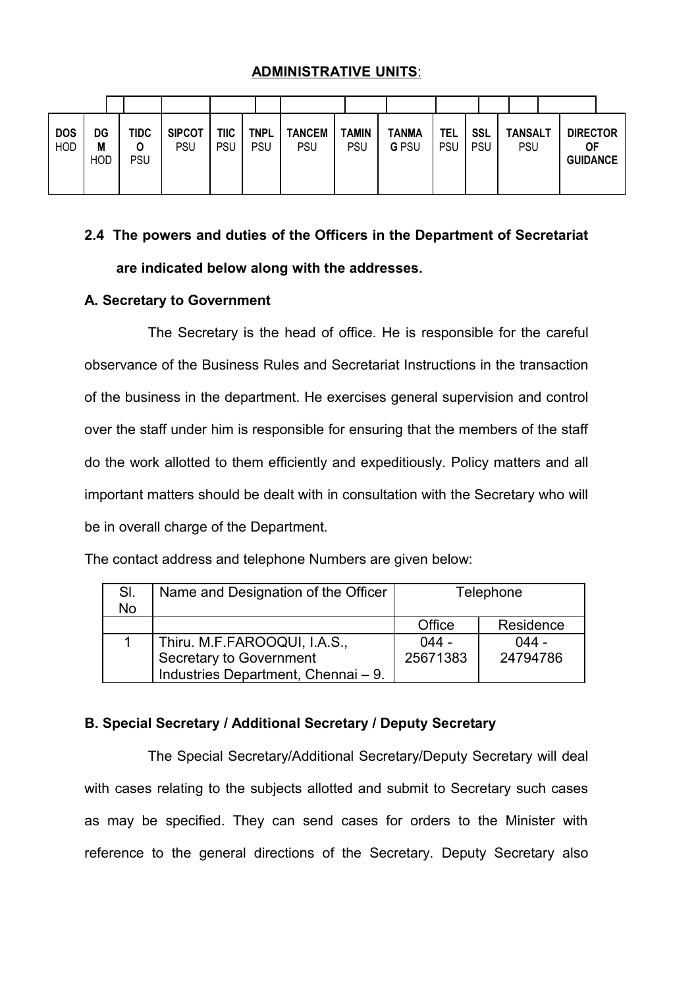# **ADMINISTRATIVE UNITS**:

| <b>DOS</b><br><b>HOD</b> | DG<br>M<br><b>HOD</b> | <b>TIDC</b><br>O<br>PSU | <b>SIPCOT</b><br><b>PSU</b> | TIIC<br><b>PSU</b> | <b>TNPL</b><br>PSU | <b>TANCEM</b><br><b>PSU</b> | <b>TAMIN</b><br>PSU | <b>TANMA</b><br><b>GPSU</b> | <b>TEL</b><br><b>PSU</b> | <b>SSL</b><br><b>PSU</b> | <b>TANSALT</b><br><b>PSU</b> | <b>DIRECTOR</b><br>ΟF<br><b>GUIDANCE</b> |
|--------------------------|-----------------------|-------------------------|-----------------------------|--------------------|--------------------|-----------------------------|---------------------|-----------------------------|--------------------------|--------------------------|------------------------------|------------------------------------------|

# **2.4 The powers and duties of the Officers in the Department of Secretariat are indicated below along with the addresses.**

# **A. Secretary to Government**

The Secretary is the head of office. He is responsible for the careful observance of the Business Rules and Secretariat Instructions in the transaction of the business in the department. He exercises general supervision and control over the staff under him is responsible for ensuring that the members of the staff do the work allotted to them efficiently and expeditiously. Policy matters and all important matters should be dealt with in consultation with the Secretary who will be in overall charge of the Department.

| SI.<br><b>No</b> | Name and Designation of the Officer<br>Telephone |          |           |
|------------------|--------------------------------------------------|----------|-----------|
|                  |                                                  | Office   | Residence |
|                  | Thiru. M.F.FAROOQUI, I.A.S.,                     | $044 -$  | $044 -$   |
|                  | Secretary to Government                          | 25671383 | 24794786  |
|                  | Industries Department, Chennai - 9.              |          |           |

The contact address and telephone Numbers are given below:

#### **B. Special Secretary / Additional Secretary / Deputy Secretary**

The Special Secretary/Additional Secretary/Deputy Secretary will deal with cases relating to the subjects allotted and submit to Secretary such cases as may be specified. They can send cases for orders to the Minister with reference to the general directions of the Secretary. Deputy Secretary also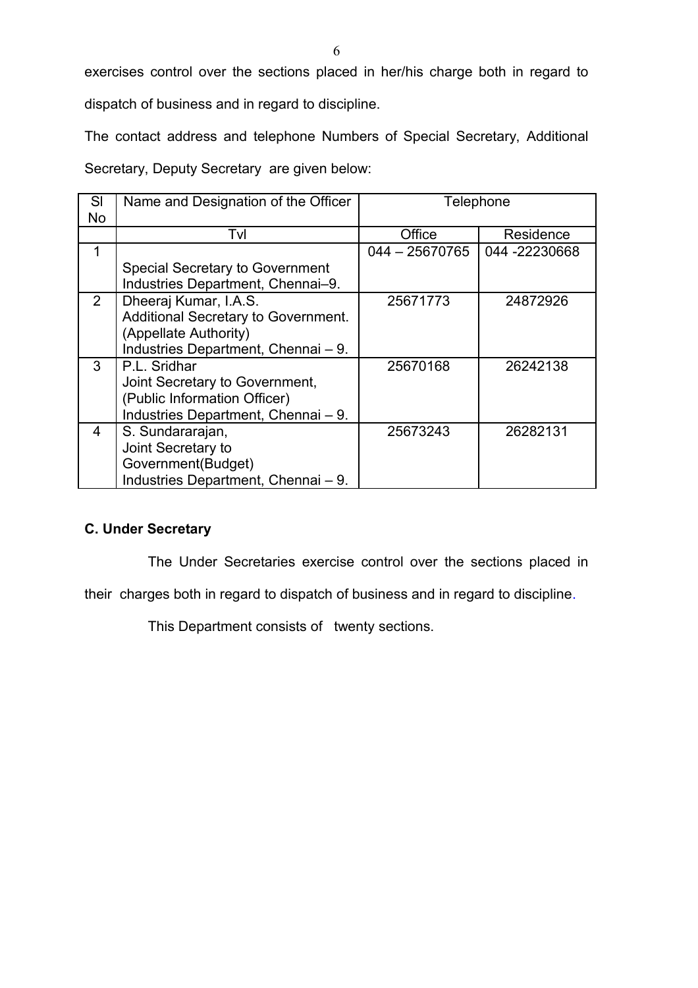exercises control over the sections placed in her/his charge both in regard to

dispatch of business and in regard to discipline.

The contact address and telephone Numbers of Special Secretary, Additional

Secretary, Deputy Secretary are given below:

| SI             | Name and Designation of the Officer    | Telephone        |               |
|----------------|----------------------------------------|------------------|---------------|
| No             |                                        |                  |               |
|                | Tvl                                    | Office           | Residence     |
| 1              |                                        | $044 - 25670765$ | 044 -22230668 |
|                | <b>Special Secretary to Government</b> |                  |               |
|                | Industries Department, Chennai-9.      |                  |               |
| $\overline{2}$ | Dheeraj Kumar, I.A.S.                  | 25671773         | 24872926      |
|                | Additional Secretary to Government.    |                  |               |
|                | (Appellate Authority)                  |                  |               |
|                | Industries Department, Chennai - 9.    |                  |               |
| 3              | P.L. Sridhar                           | 25670168         | 26242138      |
|                | Joint Secretary to Government,         |                  |               |
|                | (Public Information Officer)           |                  |               |
|                | Industries Department, Chennai - 9.    |                  |               |
| 4              | S. Sundararajan,                       | 25673243         | 26282131      |
|                | Joint Secretary to                     |                  |               |
|                | Government(Budget)                     |                  |               |
|                | Industries Department, Chennai - 9.    |                  |               |

# **C. Under Secretary**

The Under Secretaries exercise control over the sections placed in

their charges both in regard to dispatch of business and in regard to discipline.

This Department consists of twenty sections.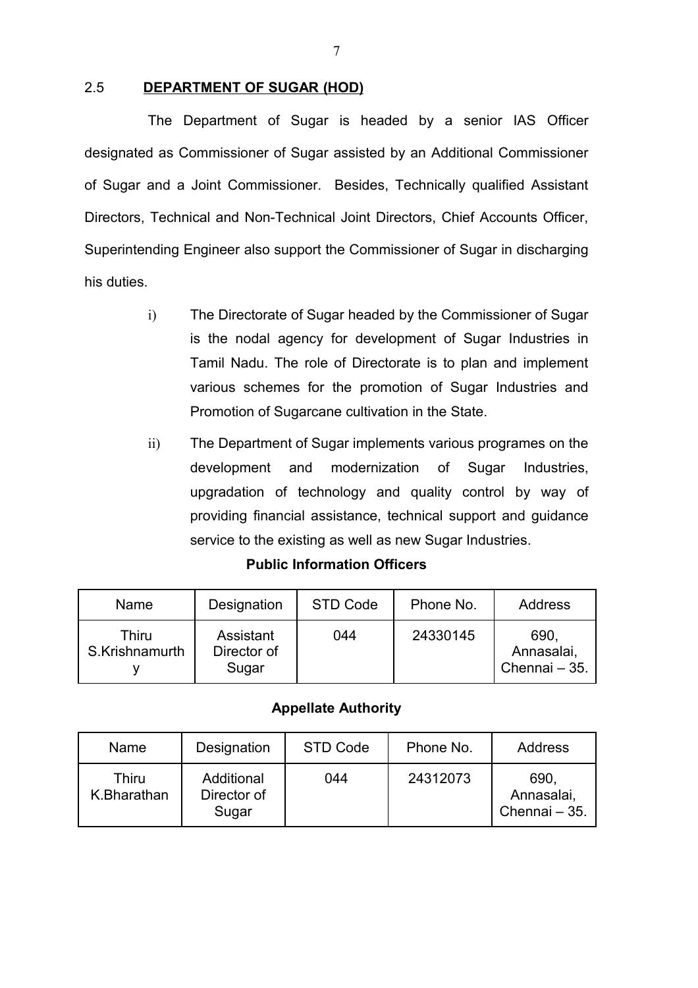# 2.5 **DEPARTMENT OF SUGAR (HOD)**

The Department of Sugar is headed by a senior IAS Officer designated as Commissioner of Sugar assisted by an Additional Commissioner of Sugar and a Joint Commissioner. Besides, Technically qualified Assistant Directors, Technical and Non-Technical Joint Directors, Chief Accounts Officer, Superintending Engineer also support the Commissioner of Sugar in discharging his duties.

- i) The Directorate of Sugar headed by the Commissioner of Sugar is the nodal agency for development of Sugar Industries in Tamil Nadu. The role of Directorate is to plan and implement various schemes for the promotion of Sugar Industries and Promotion of Sugarcane cultivation in the State.
- ii) The Department of Sugar implements various programes on the development and modernization of Sugar Industries, upgradation of technology and quality control by way of providing financial assistance, technical support and guidance service to the existing as well as new Sugar Industries.

| Name                    | Designation                       | STD Code | Phone No. | Address                             |
|-------------------------|-----------------------------------|----------|-----------|-------------------------------------|
| Thiru<br>S.Krishnamurth | Assistant<br>Director of<br>Sugar | 044      | 24330145  | 690.<br>Annasalai,<br>Chennai - 35. |

#### **Public Information Officers**

#### **Appellate Authority**

| <b>Name</b>          | Designation                        | STD Code | Phone No. | Address                             |
|----------------------|------------------------------------|----------|-----------|-------------------------------------|
| Thiru<br>K.Bharathan | Additional<br>Director of<br>Sugar | 044      | 24312073  | 690.<br>Annasalai,<br>Chennai - 35. |

7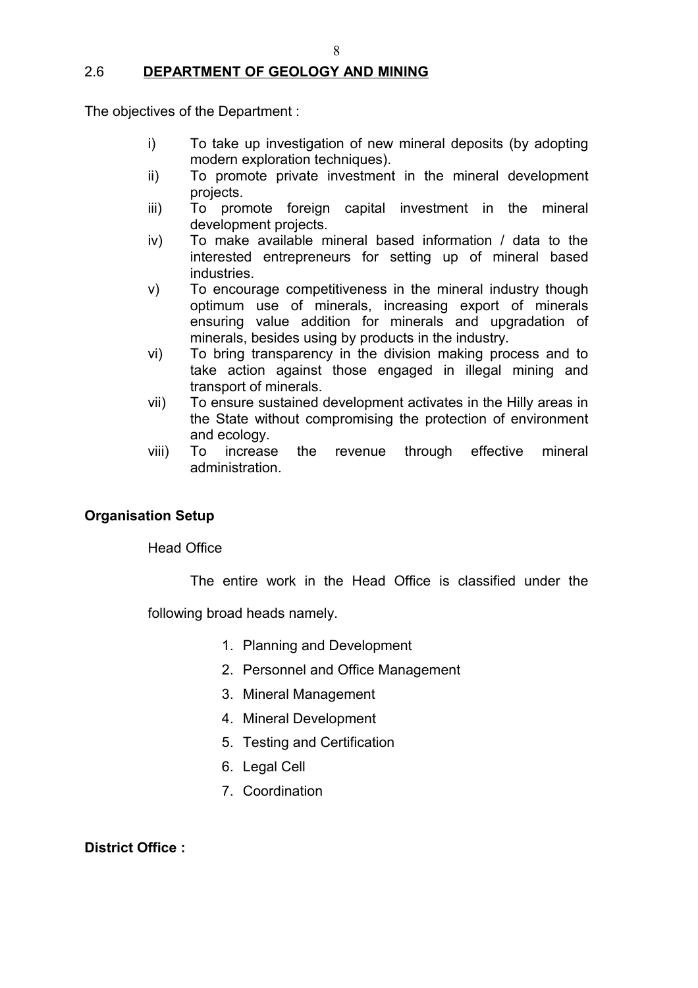# 2.6 **DEPARTMENT OF GEOLOGY AND MINING**

The objectives of the Department :

- i) To take up investigation of new mineral deposits (by adopting modern exploration techniques).
- ii) To promote private investment in the mineral development projects.
- iii) To promote foreign capital investment in the mineral development projects.
- iv) To make available mineral based information / data to the interested entrepreneurs for setting up of mineral based industries.
- v) To encourage competitiveness in the mineral industry though optimum use of minerals, increasing export of minerals ensuring value addition for minerals and upgradation of minerals, besides using by products in the industry.
- vi) To bring transparency in the division making process and to take action against those engaged in illegal mining and transport of minerals.
- vii) To ensure sustained development activates in the Hilly areas in the State without compromising the protection of environment and ecology.
- viii) To increase the revenue through effective mineral administration.

# **Organisation Setup**

Head Office

The entire work in the Head Office is classified under the

following broad heads namely.

- 1. Planning and Development
- 2. Personnel and Office Management
- 3. Mineral Management
- 4. Mineral Development
- 5. Testing and Certification
- 6. Legal Cell
- 7. Coordination

**District Office :**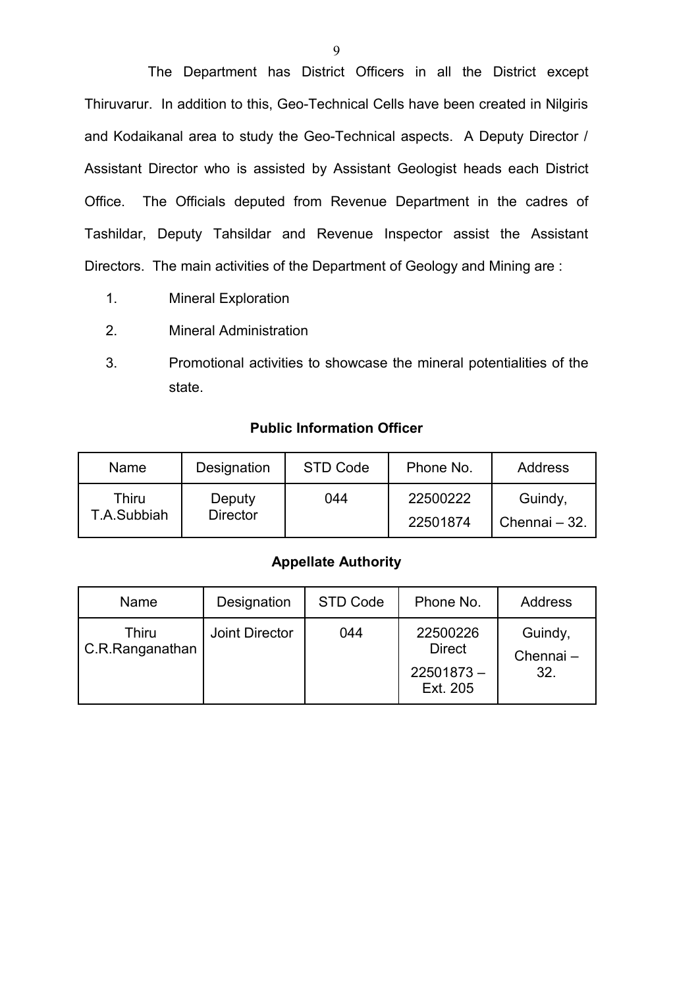The Department has District Officers in all the District except Thiruvarur. In addition to this, Geo-Technical Cells have been created in Nilgiris and Kodaikanal area to study the Geo-Technical aspects. A Deputy Director / Assistant Director who is assisted by Assistant Geologist heads each District Office. The Officials deputed from Revenue Department in the cadres of Tashildar, Deputy Tahsildar and Revenue Inspector assist the Assistant Directors. The main activities of the Department of Geology and Mining are :

- 1. Mineral Exploration
- 2. Mineral Administration
- 3. Promotional activities to showcase the mineral potentialities of the state.

#### **Public Information Officer**

| Name        | Designation     | STD Code | Phone No. | Address       |
|-------------|-----------------|----------|-----------|---------------|
| Thiru       | Deputy          | 044      | 22500222  | Guindy,       |
| T.A.Subbiah | <b>Director</b> |          | 22501874  | Chennai - 32. |

# **Appellate Authority**

| Name                     | Designation    | STD Code | Phone No.                                             | Address                    |
|--------------------------|----------------|----------|-------------------------------------------------------|----------------------------|
| Thiru<br>C.R.Ranganathan | Joint Director | 044      | 22500226<br><b>Direct</b><br>$22501873 -$<br>Ext. 205 | Guindy,<br>Chennai-<br>32. |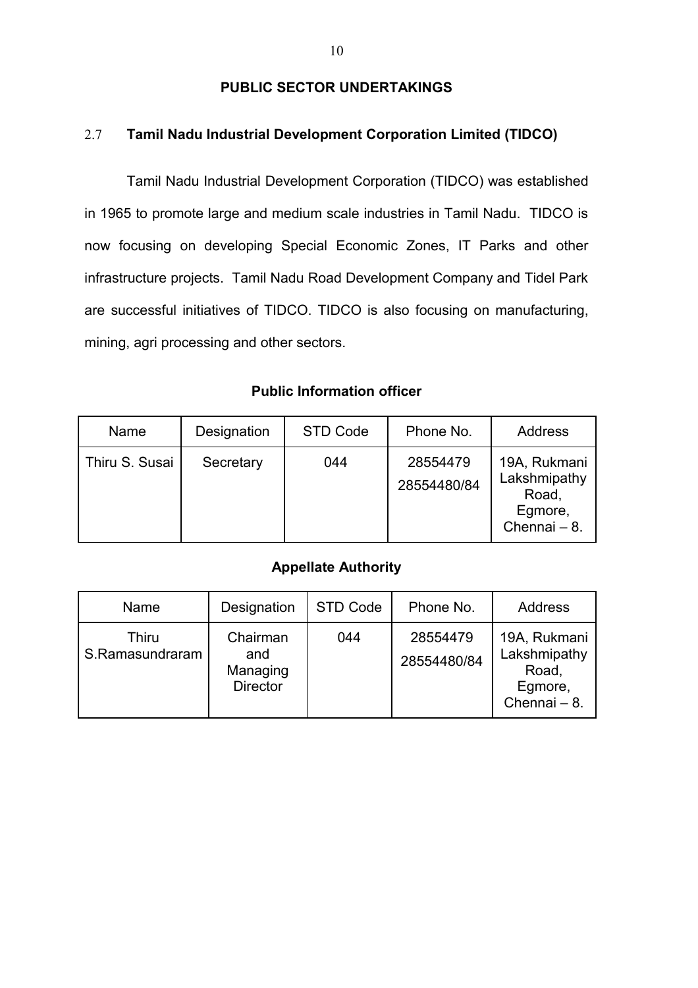# **PUBLIC SECTOR UNDERTAKINGS**

# 2.7 **Tamil Nadu Industrial Development Corporation Limited (TIDCO)**

Tamil Nadu Industrial Development Corporation (TIDCO) was established in 1965 to promote large and medium scale industries in Tamil Nadu. TIDCO is now focusing on developing Special Economic Zones, IT Parks and other infrastructure projects. Tamil Nadu Road Development Company and Tidel Park are successful initiatives of TIDCO. TIDCO is also focusing on manufacturing, mining, agri processing and other sectors.

### **Public Information officer**

| Name           | Designation | STD Code | Phone No.               | <b>Address</b>                                                   |
|----------------|-------------|----------|-------------------------|------------------------------------------------------------------|
| Thiru S. Susai | Secretary   | 044      | 28554479<br>28554480/84 | 19A, Rukmani<br>Lakshmipathy<br>Road,<br>Egmore,<br>Chennai - 8. |

#### **Appellate Authority**

| Name                     | Designation                                    | STD Code | Phone No.               | Address                                                          |
|--------------------------|------------------------------------------------|----------|-------------------------|------------------------------------------------------------------|
| Thiru<br>S.Ramasundraram | Chairman<br>and<br>Managing<br><b>Director</b> | 044      | 28554479<br>28554480/84 | 19A, Rukmani<br>Lakshmipathy<br>Road,<br>Egmore,<br>Chennai - 8. |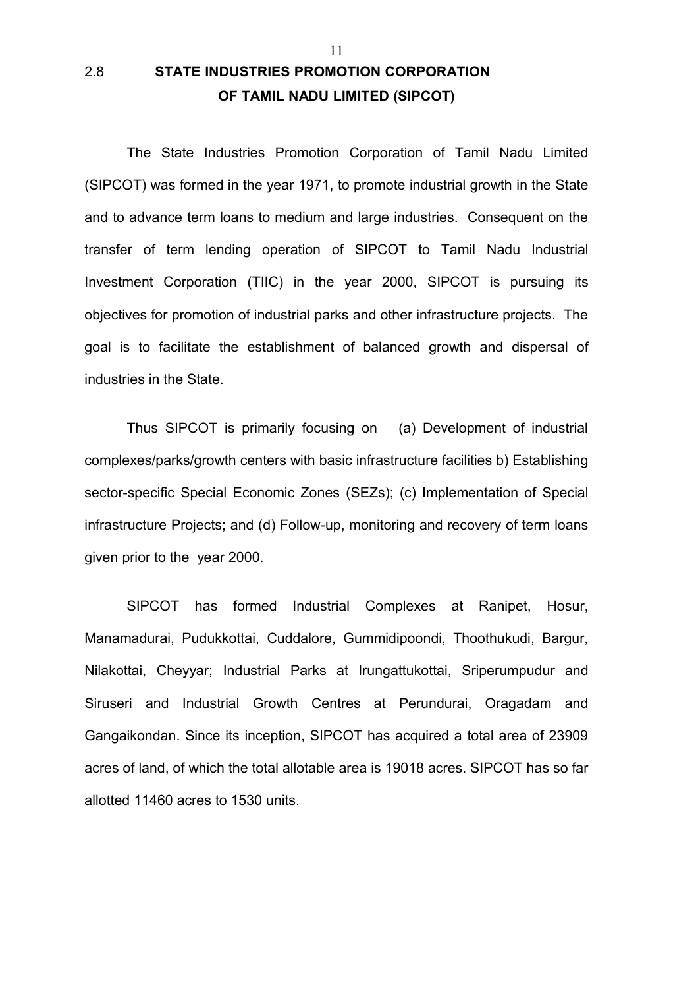# 2.8 **STATE INDUSTRIES PROMOTION CORPORATION OF TAMIL NADU LIMITED (SIPCOT)**

The State Industries Promotion Corporation of Tamil Nadu Limited (SIPCOT) was formed in the year 1971, to promote industrial growth in the State and to advance term loans to medium and large industries. Consequent on the transfer of term lending operation of SIPCOT to Tamil Nadu Industrial Investment Corporation (TIIC) in the year 2000, SIPCOT is pursuing its objectives for promotion of industrial parks and other infrastructure projects. The goal is to facilitate the establishment of balanced growth and dispersal of industries in the State.

11

Thus SIPCOT is primarily focusing on (a) Development of industrial complexes/parks/growth centers with basic infrastructure facilities b) Establishing sector-specific Special Economic Zones (SEZs); (c) Implementation of Special infrastructure Projects; and (d) Follow-up, monitoring and recovery of term loans given prior to the year 2000.

SIPCOT has formed Industrial Complexes at Ranipet, Hosur, Manamadurai, Pudukkottai, Cuddalore, Gummidipoondi, Thoothukudi, Bargur, Nilakottai, Cheyyar; Industrial Parks at Irungattukottai, Sriperumpudur and Siruseri and Industrial Growth Centres at Perundurai, Oragadam and Gangaikondan. Since its inception, SIPCOT has acquired a total area of 23909 acres of land, of which the total allotable area is 19018 acres. SIPCOT has so far allotted 11460 acres to 1530 units.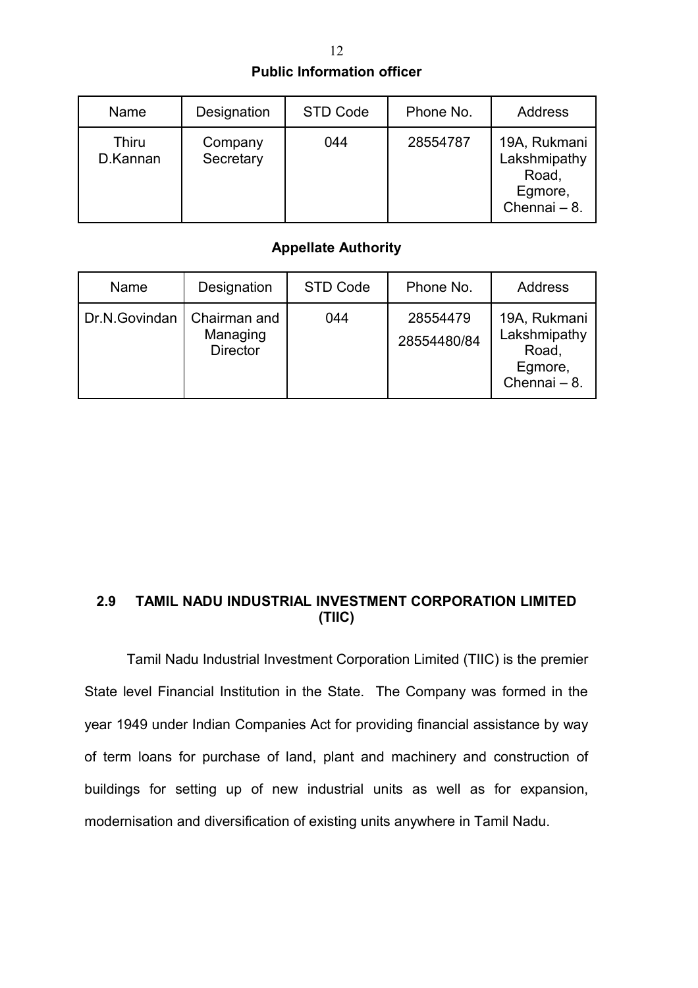| <b>Public Information officer</b> |  |
|-----------------------------------|--|
|                                   |  |

| Name              | Designation          | <b>STD Code</b> | Phone No. | <b>Address</b>                                                   |
|-------------------|----------------------|-----------------|-----------|------------------------------------------------------------------|
| Thiru<br>D.Kannan | Company<br>Secretary | 044             | 28554787  | 19A, Rukmani<br>Lakshmipathy<br>Road,<br>Egmore,<br>Chennai - 8. |

# **Appellate Authority**

| Name          | Designation                                 | STD Code | Phone No.               | Address                                                          |
|---------------|---------------------------------------------|----------|-------------------------|------------------------------------------------------------------|
| Dr.N.Govindan | Chairman and<br>Managing<br><b>Director</b> | 044      | 28554479<br>28554480/84 | 19A, Rukmani<br>Lakshmipathy<br>Road,<br>Egmore,<br>Chennai - 8. |

# **2.9 TAMIL NADU INDUSTRIAL INVESTMENT CORPORATION LIMITED (TIIC)**

Tamil Nadu Industrial Investment Corporation Limited (TIIC) is the premier State level Financial Institution in the State. The Company was formed in the year 1949 under Indian Companies Act for providing financial assistance by way of term loans for purchase of land, plant and machinery and construction of buildings for setting up of new industrial units as well as for expansion, modernisation and diversification of existing units anywhere in Tamil Nadu.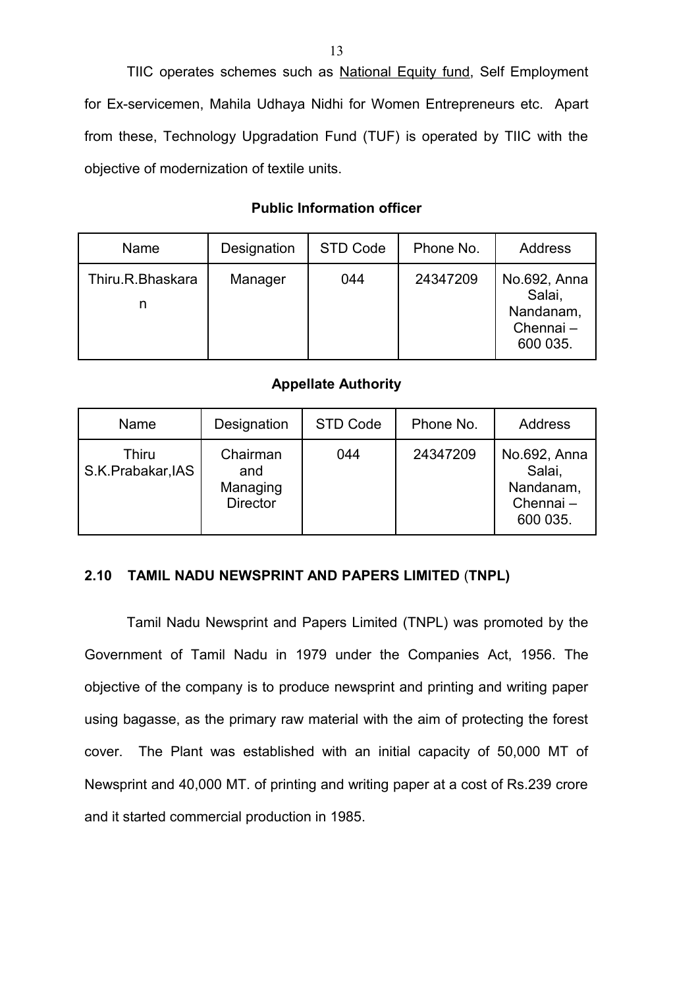TIIC operates schemes such as National Equity fund, Self Employment for Ex-servicemen, Mahila Udhaya Nidhi for Women Entrepreneurs etc. Apart from these, Technology Upgradation Fund (TUF) is operated by TIIC with the objective of modernization of textile units.

#### **Public Information officer**

| Name                  | Designation | STD Code | Phone No. | Address                                                     |
|-----------------------|-------------|----------|-----------|-------------------------------------------------------------|
| Thiru.R.Bhaskara<br>n | Manager     | 044      | 24347209  | No.692, Anna<br>Salai,<br>Nandanam,<br>Chennai-<br>600 035. |

#### **Appellate Authority**

| Name                       | Designation                                    | STD Code | Phone No. | <b>Address</b>                                              |
|----------------------------|------------------------------------------------|----------|-----------|-------------------------------------------------------------|
| Thiru<br>S.K.Prabakar, IAS | Chairman<br>and<br>Managing<br><b>Director</b> | 044      | 24347209  | No.692, Anna<br>Salai,<br>Nandanam,<br>Chennai-<br>600 035. |

#### **2.10 TAMIL NADU NEWSPRINT AND PAPERS LIMITED** (**TNPL)**

Tamil Nadu Newsprint and Papers Limited (TNPL) was promoted by the Government of Tamil Nadu in 1979 under the Companies Act, 1956. The objective of the company is to produce newsprint and printing and writing paper using bagasse, as the primary raw material with the aim of protecting the forest cover. The Plant was established with an initial capacity of 50,000 MT of Newsprint and 40,000 MT. of printing and writing paper at a cost of Rs.239 crore and it started commercial production in 1985.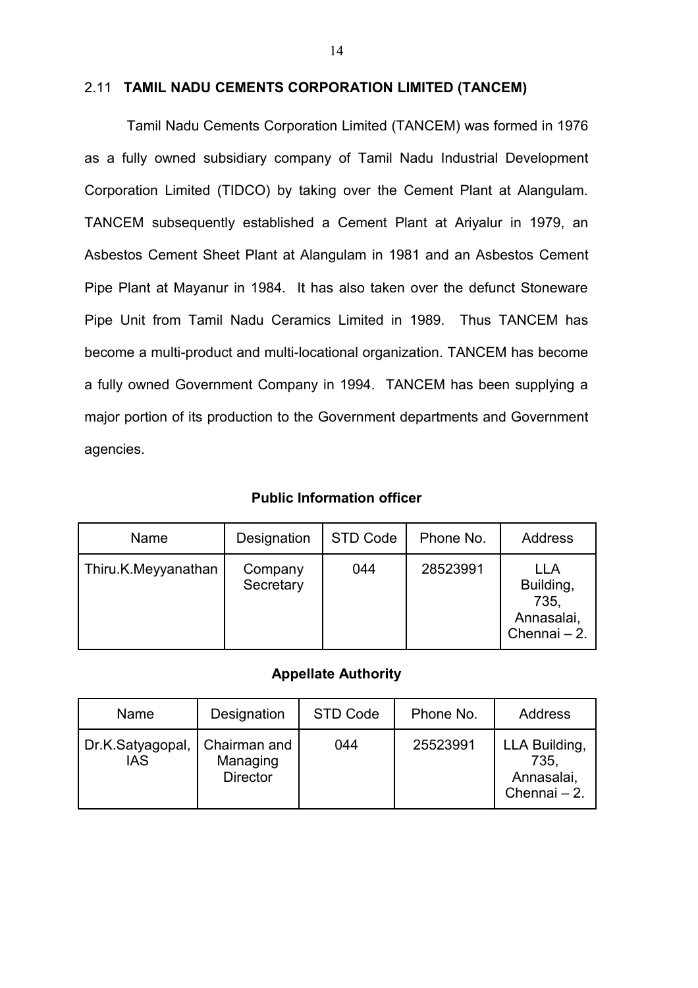#### 2.11 **TAMIL NADU CEMENTS CORPORATION LIMITED (TANCEM)**

Tamil Nadu Cements Corporation Limited (TANCEM) was formed in 1976 as a fully owned subsidiary company of Tamil Nadu Industrial Development Corporation Limited (TIDCO) by taking over the Cement Plant at Alangulam. TANCEM subsequently established a Cement Plant at Ariyalur in 1979, an Asbestos Cement Sheet Plant at Alangulam in 1981 and an Asbestos Cement Pipe Plant at Mayanur in 1984. It has also taken over the defunct Stoneware Pipe Unit from Tamil Nadu Ceramics Limited in 1989. Thus TANCEM has become a multi-product and multi-locational organization. TANCEM has become a fully owned Government Company in 1994. TANCEM has been supplying a major portion of its production to the Government departments and Government agencies.

**Public Information officer**

| Name                | Designation          | STD Code | Phone No. | <b>Address</b>                                         |
|---------------------|----------------------|----------|-----------|--------------------------------------------------------|
| Thiru.K.Meyyanathan | Company<br>Secretary | 044      | 28523991  | LLA<br>Building,<br>735,<br>Annasalai,<br>Chennai - 2. |

#### **Appellate Authority**

| Name                           | Designation                                 | STD Code | Phone No. | Address                                             |
|--------------------------------|---------------------------------------------|----------|-----------|-----------------------------------------------------|
| Dr.K.Satyagopal,<br><b>IAS</b> | Chairman and<br>Managing<br><b>Director</b> | 044      | 25523991  | LLA Building,<br>735.<br>Annasalai,<br>Chennai - 2. |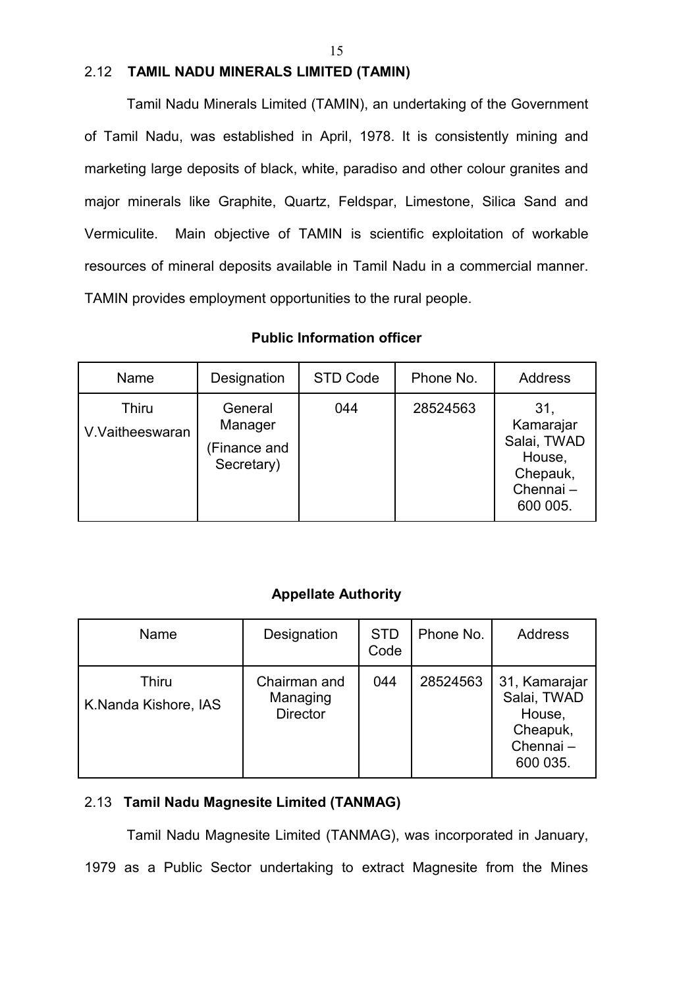#### 2.12 **TAMIL NADU MINERALS LIMITED (TAMIN)**

Tamil Nadu Minerals Limited (TAMIN), an undertaking of the Government of Tamil Nadu, was established in April, 1978. It is consistently mining and marketing large deposits of black, white, paradiso and other colour granites and major minerals like Graphite, Quartz, Feldspar, Limestone, Silica Sand and Vermiculite. Main objective of TAMIN is scientific exploitation of workable resources of mineral deposits available in Tamil Nadu in a commercial manner. TAMIN provides employment opportunities to the rural people.

#### Name | Designation | STD Code | Phone No. | Address **Thiru** V.Vaitheeswaran **General** Manager (Finance and Secretary) 044 | 28524563 | 31, Kamarajar Salai, TWAD House, Chepauk, Chennai – 600 005.

#### **Public Information officer**

# **Appellate Authority**

| Name                                 | Designation                                 | <b>STD</b><br>Code | Phone No. | Address                                                                    |
|--------------------------------------|---------------------------------------------|--------------------|-----------|----------------------------------------------------------------------------|
| <b>Thiru</b><br>K.Nanda Kishore, IAS | Chairman and<br>Managing<br><b>Director</b> | 044                | 28524563  | 31, Kamarajar<br>Salai, TWAD<br>House,<br>Cheapuk,<br>Chennai-<br>600 035. |

# 2.13 **Tamil Nadu Magnesite Limited (TANMAG)**

Tamil Nadu Magnesite Limited (TANMAG), was incorporated in January, 1979 as a Public Sector undertaking to extract Magnesite from the Mines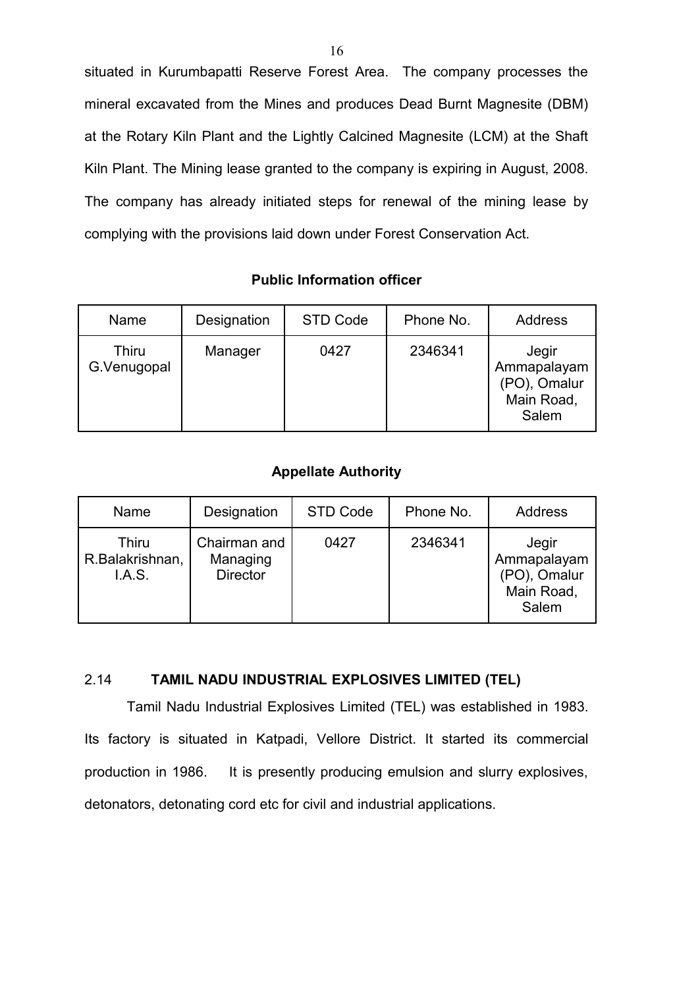situated in Kurumbapatti Reserve Forest Area. The company processes the mineral excavated from the Mines and produces Dead Burnt Magnesite (DBM) at the Rotary Kiln Plant and the Lightly Calcined Magnesite (LCM) at the Shaft Kiln Plant. The Mining lease granted to the company is expiring in August, 2008. The company has already initiated steps for renewal of the mining lease by complying with the provisions laid down under Forest Conservation Act.

#### **Public Information officer**

| Name                         | Designation | STD Code | Phone No. | <b>Address</b>                                              |
|------------------------------|-------------|----------|-----------|-------------------------------------------------------------|
| <b>Thiru</b><br>G. Venugopal | Manager     | 0427     | 2346341   | Jegir<br>Ammapalayam<br>(PO), Omalur<br>Main Road,<br>Salem |

# **Appellate Authority**

| Name                                      | Designation                                 | STD Code | Phone No. | <b>Address</b>                                              |
|-------------------------------------------|---------------------------------------------|----------|-----------|-------------------------------------------------------------|
| <b>Thiru</b><br>R.Balakrishnan,<br>I.A.S. | Chairman and<br>Managing<br><b>Director</b> | 0427     | 2346341   | Jegir<br>Ammapalayam<br>(PO), Omalur<br>Main Road,<br>Salem |

## 2.14 **TAMIL NADU INDUSTRIAL EXPLOSIVES LIMITED (TEL)**

Tamil Nadu Industrial Explosives Limited (TEL) was established in 1983. Its factory is situated in Katpadi, Vellore District. It started its commercial production in 1986. It is presently producing emulsion and slurry explosives, detonators, detonating cord etc for civil and industrial applications.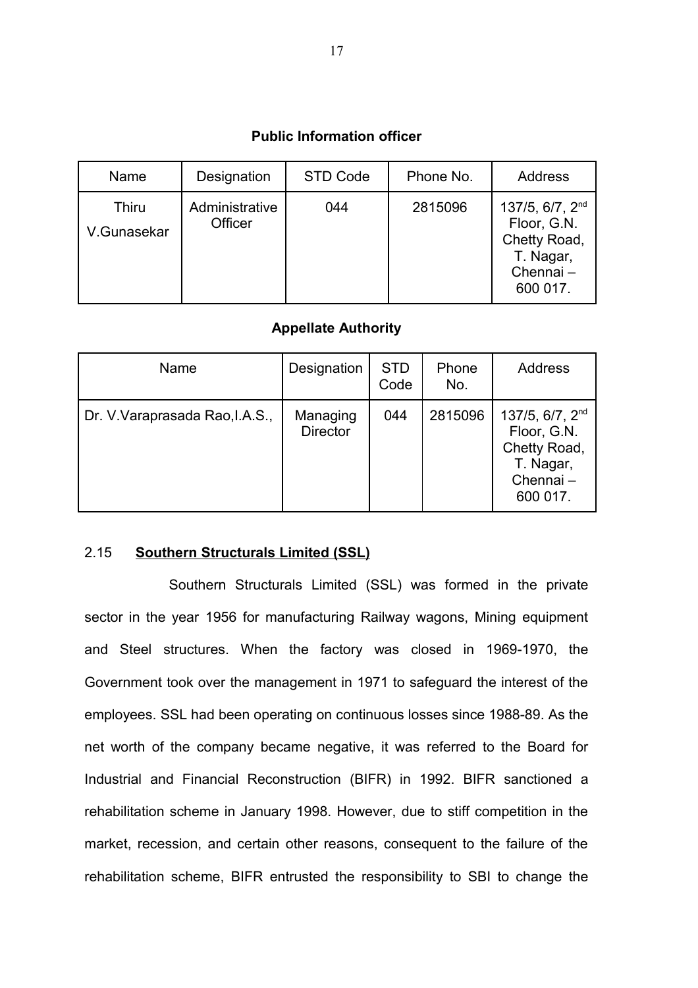#### **Public Information officer**

| Name                 | Designation               | STD Code | Phone No. | Address                                                                                  |
|----------------------|---------------------------|----------|-----------|------------------------------------------------------------------------------------------|
| Thiru<br>V.Gunasekar | Administrative<br>Officer | 044      | 2815096   | 137/5, $6/7$ , $2nd$<br>Floor, G.N.<br>Chetty Road,<br>T. Nagar,<br>Chennai-<br>600 017. |

#### **Appellate Authority**

| Name                            | Designation                 | <b>STD</b><br>Code | Phone<br>No. | <b>Address</b>                                                                                  |
|---------------------------------|-----------------------------|--------------------|--------------|-------------------------------------------------------------------------------------------------|
| Dr. V. Varaprasada Rao, I.A.S., | Managing<br><b>Director</b> | 044                | 2815096      | 137/5, 6/7, 2 <sup>nd</sup><br>Floor, G.N.<br>Chetty Road,<br>T. Nagar,<br>Chennai-<br>600 017. |

# 2.15 **Southern Structurals Limited (SSL)**

Southern Structurals Limited (SSL) was formed in the private sector in the year 1956 for manufacturing Railway wagons, Mining equipment and Steel structures. When the factory was closed in 1969-1970, the Government took over the management in 1971 to safeguard the interest of the employees. SSL had been operating on continuous losses since 1988-89. As the net worth of the company became negative, it was referred to the Board for Industrial and Financial Reconstruction (BIFR) in 1992. BIFR sanctioned a rehabilitation scheme in January 1998. However, due to stiff competition in the market, recession, and certain other reasons, consequent to the failure of the rehabilitation scheme, BIFR entrusted the responsibility to SBI to change the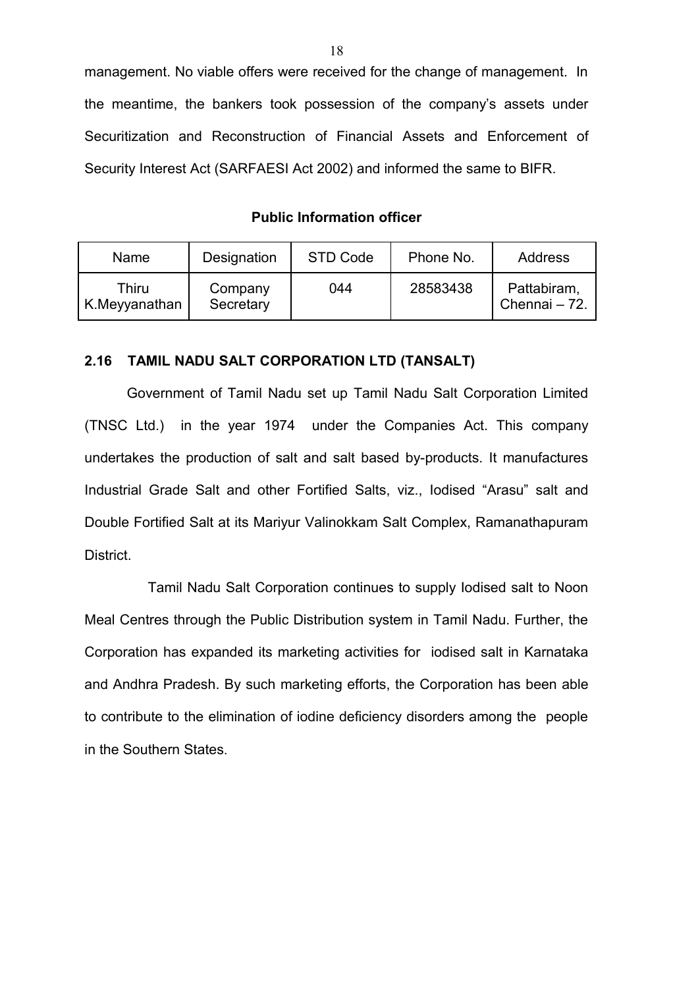management. No viable offers were received for the change of management. In the meantime, the bankers took possession of the company's assets under Securitization and Reconstruction of Financial Assets and Enforcement of Security Interest Act (SARFAESI Act 2002) and informed the same to BIFR.

**Public Information officer**

| Name                   | Designation          | STD Code | Phone No. | Address                      |
|------------------------|----------------------|----------|-----------|------------------------------|
| Thiru<br>K.Meyyanathan | Company<br>Secretary | 044      | 28583438  | Pattabiram,<br>Chennai - 72. |

#### **2.16 TAMIL NADU SALT CORPORATION LTD (TANSALT)**

Government of Tamil Nadu set up Tamil Nadu Salt Corporation Limited (TNSC Ltd.) in the year 1974 under the Companies Act. This company undertakes the production of salt and salt based by-products. It manufactures Industrial Grade Salt and other Fortified Salts, viz., Iodised "Arasu" salt and Double Fortified Salt at its Mariyur Valinokkam Salt Complex, Ramanathapuram District.

Tamil Nadu Salt Corporation continues to supply Iodised salt to Noon Meal Centres through the Public Distribution system in Tamil Nadu. Further, the Corporation has expanded its marketing activities for iodised salt in Karnataka and Andhra Pradesh. By such marketing efforts, the Corporation has been able to contribute to the elimination of iodine deficiency disorders among the people in the Southern States.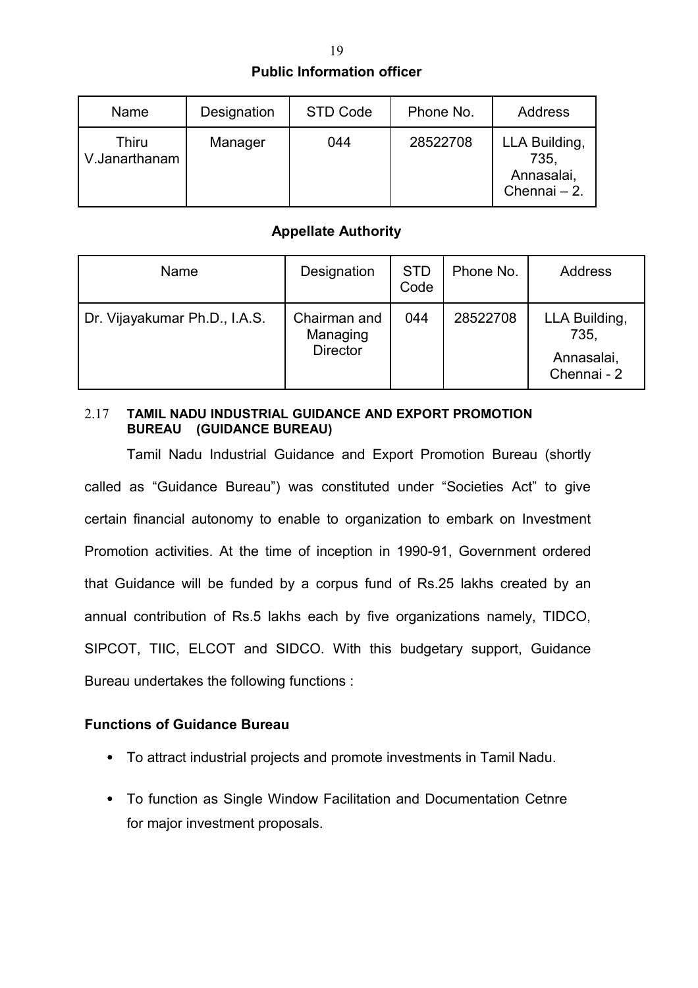# **Public Information officer**

| Name                   | Designation | STD Code | Phone No. | Address                                             |
|------------------------|-------------|----------|-----------|-----------------------------------------------------|
| Thiru<br>V.Janarthanam | Manager     | 044      | 28522708  | LLA Building,<br>735.<br>Annasalai,<br>Chennai - 2. |

# **Appellate Authority**

| Name                          | Designation                                 | <b>STD</b><br>Code | Phone No. | Address                                            |
|-------------------------------|---------------------------------------------|--------------------|-----------|----------------------------------------------------|
| Dr. Vijayakumar Ph.D., I.A.S. | Chairman and<br>Managing<br><b>Director</b> | 044                | 28522708  | LLA Building,<br>735,<br>Annasalai,<br>Chennai - 2 |

#### 2.17 **TAMIL NADU INDUSTRIAL GUIDANCE AND EXPORT PROMOTION BUREAU (GUIDANCE BUREAU)**

Tamil Nadu Industrial Guidance and Export Promotion Bureau (shortly called as "Guidance Bureau") was constituted under "Societies Act" to give certain financial autonomy to enable to organization to embark on Investment Promotion activities. At the time of inception in 1990-91, Government ordered that Guidance will be funded by a corpus fund of Rs.25 lakhs created by an annual contribution of Rs.5 lakhs each by five organizations namely, TIDCO, SIPCOT, TIIC, ELCOT and SIDCO. With this budgetary support, Guidance Bureau undertakes the following functions :

# **Functions of Guidance Bureau**

- To attract industrial projects and promote investments in Tamil Nadu.
- To function as Single Window Facilitation and Documentation Cetnre for major investment proposals.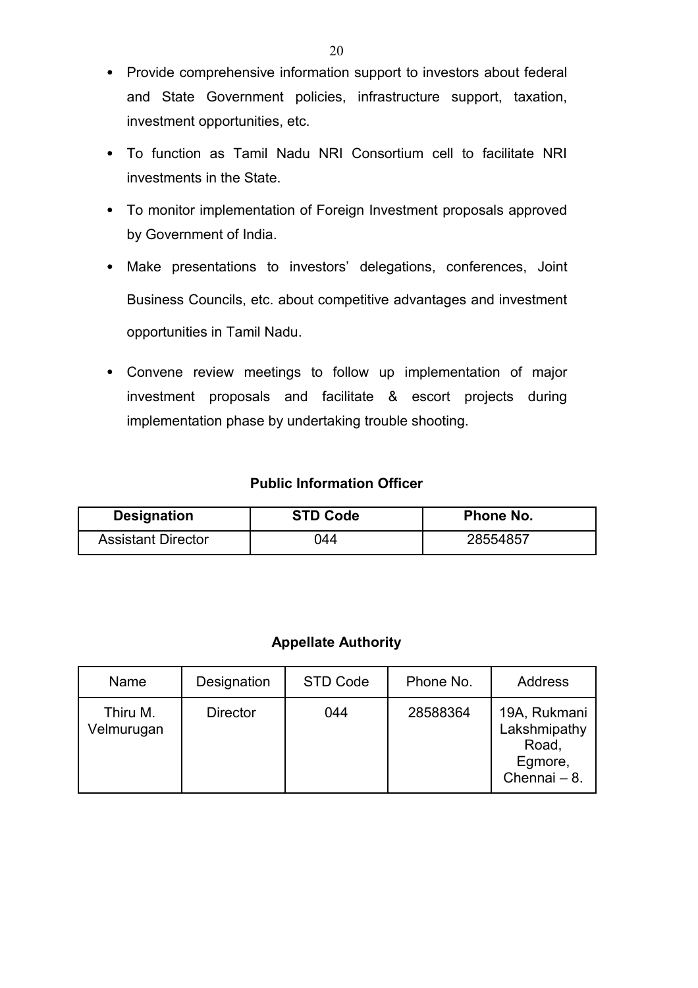- Provide comprehensive information support to investors about federal and State Government policies, infrastructure support, taxation, investment opportunities, etc.
- To function as Tamil Nadu NRI Consortium cell to facilitate NRI investments in the State.
- To monitor implementation of Foreign Investment proposals approved by Government of India.
- Make presentations to investors' delegations, conferences, Joint Business Councils, etc. about competitive advantages and investment opportunities in Tamil Nadu.
- Convene review meetings to follow up implementation of major investment proposals and facilitate & escort projects during implementation phase by undertaking trouble shooting.

# **Public Information Officer**

| <b>Designation</b>        | <b>STD Code</b> | Phone No. |
|---------------------------|-----------------|-----------|
| <b>Assistant Director</b> | ገ44             | 28554857  |

# **Appellate Authority**

| Name                   | Designation     | STD Code | Phone No. | Address                                                          |
|------------------------|-----------------|----------|-----------|------------------------------------------------------------------|
| Thiru M.<br>Velmurugan | <b>Director</b> | 044      | 28588364  | 19A, Rukmani<br>Lakshmipathy<br>Road,<br>Egmore,<br>Chennai - 8. |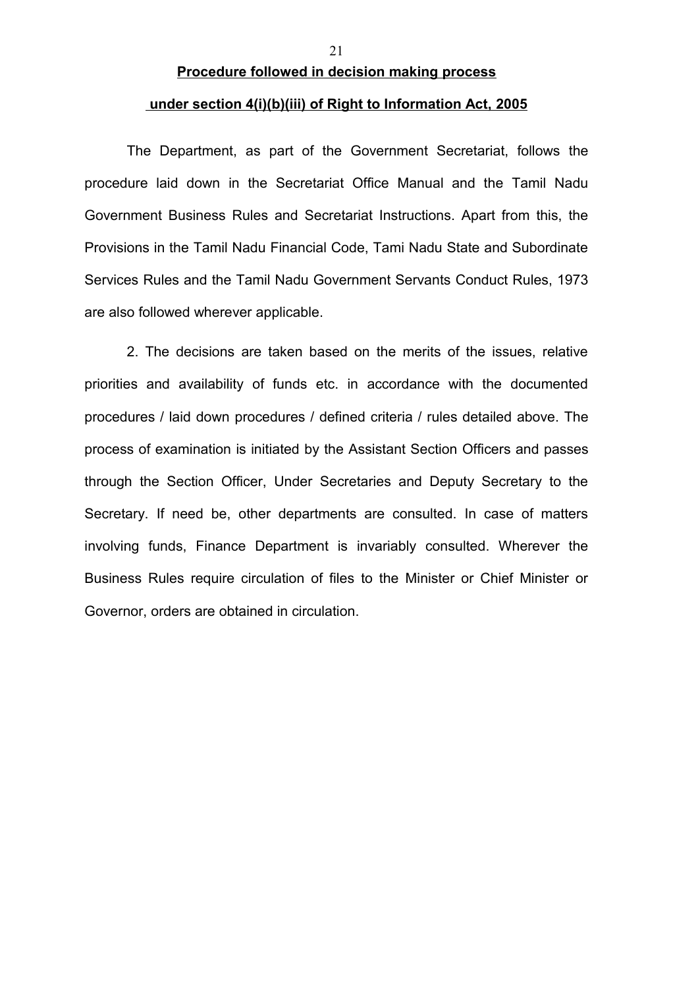# **Procedure followed in decision making process**

# **under section 4(i)(b)(iii) of Right to Information Act, 2005**

The Department, as part of the Government Secretariat, follows the procedure laid down in the Secretariat Office Manual and the Tamil Nadu Government Business Rules and Secretariat Instructions. Apart from this, the Provisions in the Tamil Nadu Financial Code, Tami Nadu State and Subordinate Services Rules and the Tamil Nadu Government Servants Conduct Rules, 1973 are also followed wherever applicable.

2. The decisions are taken based on the merits of the issues, relative priorities and availability of funds etc. in accordance with the documented procedures / laid down procedures / defined criteria / rules detailed above. The process of examination is initiated by the Assistant Section Officers and passes through the Section Officer, Under Secretaries and Deputy Secretary to the Secretary. If need be, other departments are consulted. In case of matters involving funds, Finance Department is invariably consulted. Wherever the Business Rules require circulation of files to the Minister or Chief Minister or Governor, orders are obtained in circulation.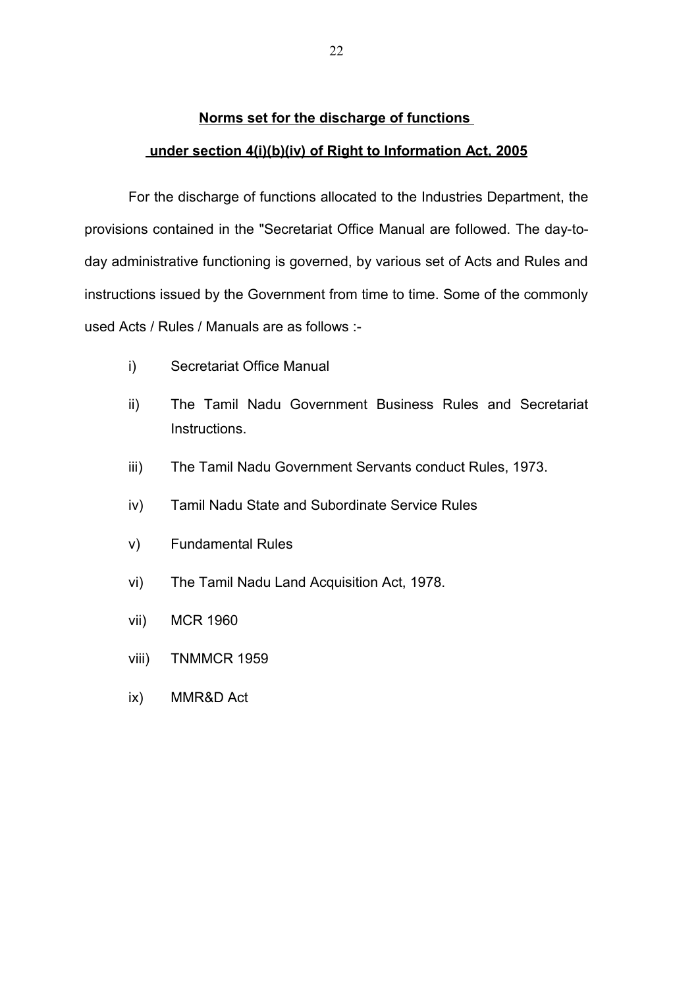#### **Norms set for the discharge of functions**

#### **under section 4(i)(b)(iv) of Right to Information Act, 2005**

For the discharge of functions allocated to the Industries Department, the provisions contained in the "Secretariat Office Manual are followed. The day-today administrative functioning is governed, by various set of Acts and Rules and instructions issued by the Government from time to time. Some of the commonly used Acts / Rules / Manuals are as follows :-

- i) Secretariat Office Manual
- ii) The Tamil Nadu Government Business Rules and Secretariat Instructions.
- iii) The Tamil Nadu Government Servants conduct Rules, 1973.
- iv) Tamil Nadu State and Subordinate Service Rules
- v) Fundamental Rules
- vi) The Tamil Nadu Land Acquisition Act, 1978.
- vii) MCR 1960
- viii) TNMMCR 1959
- ix) MMR&D Act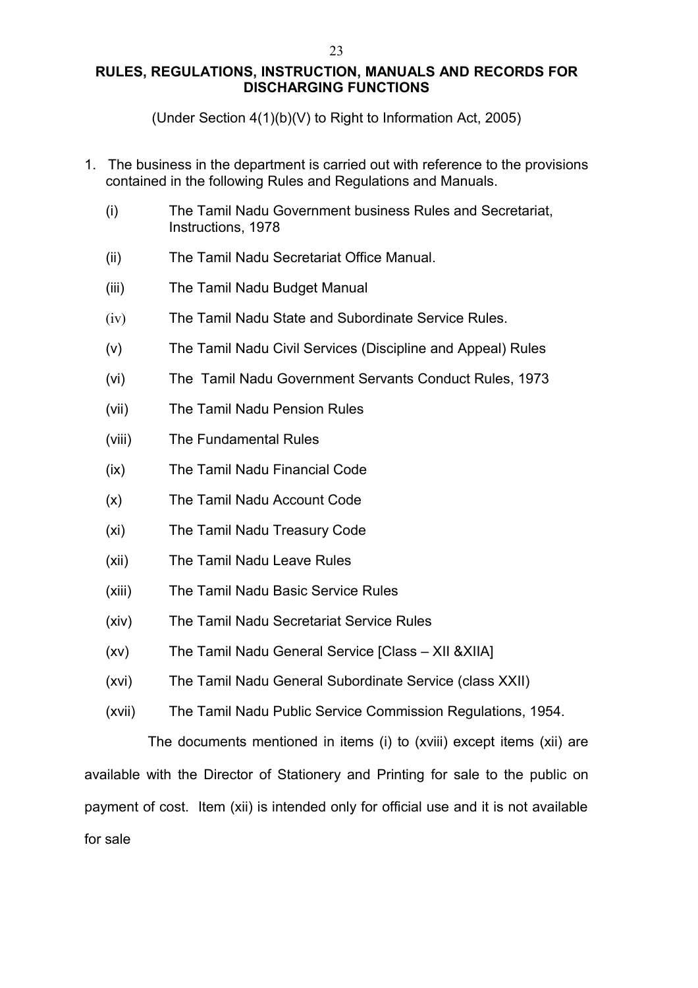# **RULES, REGULATIONS, INSTRUCTION, MANUALS AND RECORDS FOR DISCHARGING FUNCTIONS**

(Under Section 4(1)(b)(V) to Right to Information Act, 2005)

- 1. The business in the department is carried out with reference to the provisions contained in the following Rules and Regulations and Manuals.
	- (i) The Tamil Nadu Government business Rules and Secretariat, Instructions, 1978
	- (ii) The Tamil Nadu Secretariat Office Manual.
	- (iii) The Tamil Nadu Budget Manual
	- (iv) The Tamil Nadu State and Subordinate Service Rules.
	- (v) The Tamil Nadu Civil Services (Discipline and Appeal) Rules
	- (vi) The Tamil Nadu Government Servants Conduct Rules, 1973
	- (vii) The Tamil Nadu Pension Rules
	- (viii) The Fundamental Rules
	- (ix) The Tamil Nadu Financial Code
	- (x) The Tamil Nadu Account Code
	- (xi) The Tamil Nadu Treasury Code
	- (xii) The Tamil Nadu Leave Rules
	- (xiii) The Tamil Nadu Basic Service Rules
	- (xiv) The Tamil Nadu Secretariat Service Rules
	- (xv) The Tamil Nadu General Service [Class XII &XIIA]
	- (xvi) The Tamil Nadu General Subordinate Service (class XXII)
	- (xvii) The Tamil Nadu Public Service Commission Regulations, 1954.

The documents mentioned in items (i) to (xviii) except items (xii) are available with the Director of Stationery and Printing for sale to the public on payment of cost. Item (xii) is intended only for official use and it is not available for sale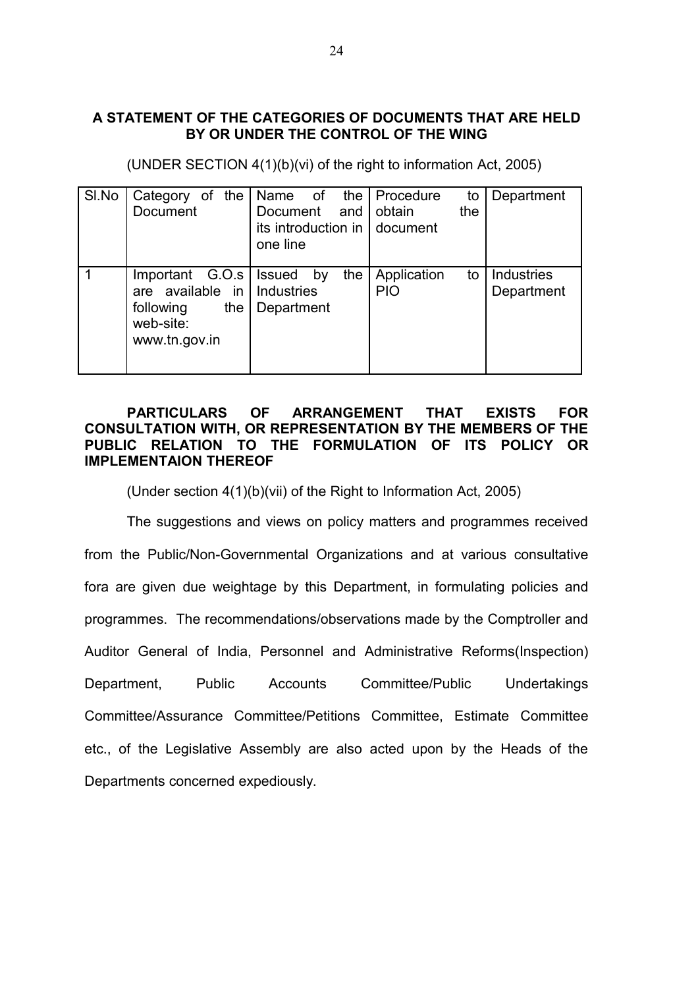#### **A STATEMENT OF THE CATEGORIES OF DOCUMENTS THAT ARE HELD BY OR UNDER THE CONTROL OF THE WING**

| SI.No | Category of the<br><b>Document</b>                                                      | Name of<br>Document<br>and  <br>its introduction in   document<br>one line | the   Procedure<br>to<br>obtain<br>the | Department               |
|-------|-----------------------------------------------------------------------------------------|----------------------------------------------------------------------------|----------------------------------------|--------------------------|
|       | Important $G.O.s$<br>are available in<br>following<br>the<br>web-site:<br>www.tn.gov.in | the<br><b>Issued</b><br>by<br>Industries<br>Department                     | Application<br>to<br><b>PIO</b>        | Industries<br>Department |

(UNDER SECTION 4(1)(b)(vi) of the right to information Act, 2005)

#### **PARTICULARS OF ARRANGEMENT THAT EXISTS FOR CONSULTATION WITH, OR REPRESENTATION BY THE MEMBERS OF THE PUBLIC RELATION TO THE FORMULATION OF ITS POLICY OR IMPLEMENTAION THEREOF**

(Under section 4(1)(b)(vii) of the Right to Information Act, 2005)

The suggestions and views on policy matters and programmes received from the Public/Non-Governmental Organizations and at various consultative fora are given due weightage by this Department, in formulating policies and programmes. The recommendations/observations made by the Comptroller and Auditor General of India, Personnel and Administrative Reforms(Inspection) Department, Public Accounts Committee/Public Undertakings Committee/Assurance Committee/Petitions Committee, Estimate Committee etc., of the Legislative Assembly are also acted upon by the Heads of the Departments concerned expediously.